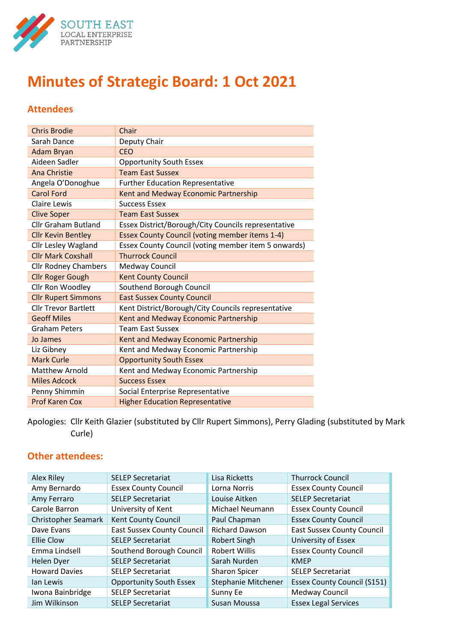

# **Minutes of Strategic Board: 1 Oct 2021**

# **Attendees**

| <b>Chris Brodie</b>         | Chair                                                 |
|-----------------------------|-------------------------------------------------------|
| Sarah Dance                 | Deputy Chair                                          |
| <b>Adam Bryan</b>           | <b>CEO</b>                                            |
| Aideen Sadler               | <b>Opportunity South Essex</b>                        |
| <b>Ana Christie</b>         | <b>Team East Sussex</b>                               |
| Angela O'Donoghue           | <b>Further Education Representative</b>               |
| <b>Carol Ford</b>           | Kent and Medway Economic Partnership                  |
| Claire Lewis                | <b>Success Essex</b>                                  |
| <b>Clive Soper</b>          | <b>Team East Sussex</b>                               |
| <b>Cllr Graham Butland</b>  | Essex District/Borough/City Councils representative   |
| <b>Cllr Kevin Bentley</b>   | <b>Essex County Council (voting member items 1-4)</b> |
| <b>Cllr Lesley Wagland</b>  | Essex County Council (voting member item 5 onwards)   |
| <b>Cllr Mark Coxshall</b>   | <b>Thurrock Council</b>                               |
| <b>Cllr Rodney Chambers</b> | Medway Council                                        |
| <b>Cllr Roger Gough</b>     | <b>Kent County Council</b>                            |
| Cllr Ron Woodley            | Southend Borough Council                              |
| <b>Cllr Rupert Simmons</b>  | <b>East Sussex County Council</b>                     |
| <b>Cllr Trevor Bartlett</b> | Kent District/Borough/City Councils representative    |
| <b>Geoff Miles</b>          | Kent and Medway Economic Partnership                  |
| <b>Graham Peters</b>        | <b>Team East Sussex</b>                               |
| Jo James                    | Kent and Medway Economic Partnership                  |
| Liz Gibney                  | Kent and Medway Economic Partnership                  |
| <b>Mark Curle</b>           | <b>Opportunity South Essex</b>                        |
| <b>Matthew Arnold</b>       | Kent and Medway Economic Partnership                  |
| <b>Miles Adcock</b>         | <b>Success Essex</b>                                  |
| Penny Shimmin               | Social Enterprise Representative                      |
| <b>Prof Karen Cox</b>       | <b>Higher Education Representative</b>                |

Apologies: Cllr Keith Glazier (substituted by Cllr Rupert Simmons), Perry Glading (substituted by Mark Curle)

# **Other attendees:**

| Alex Riley                 | <b>SELEP Secretariat</b>          | Lisa Ricketts         | <b>Thurrock Council</b>            |
|----------------------------|-----------------------------------|-----------------------|------------------------------------|
| Amy Bernardo               | <b>Essex County Council</b>       | Lorna Norris          | <b>Essex County Council</b>        |
| Amy Ferraro                | <b>SELEP Secretariat</b>          | Louise Aitken         | <b>SELEP Secretariat</b>           |
| Carole Barron              | University of Kent                | Michael Neumann       | <b>Essex County Council</b>        |
| <b>Christopher Seamark</b> | <b>Kent County Council</b>        | Paul Chapman          | <b>Essex County Council</b>        |
| Dave Evans                 | <b>East Sussex County Council</b> | <b>Richard Dawson</b> | <b>East Sussex County Council</b>  |
| Ellie Clow                 | <b>SELEP Secretariat</b>          | <b>Robert Singh</b>   | University of Essex                |
| Emma Lindsell              | Southend Borough Council          | <b>Robert Willis</b>  | <b>Essex County Council</b>        |
| <b>Helen Dyer</b>          | <b>SELEP Secretariat</b>          | Sarah Nurden          | <b>KMEP</b>                        |
| <b>Howard Davies</b>       | <b>SELEP Secretariat</b>          | Sharon Spicer         | <b>SELEP Secretariat</b>           |
| lan Lewis                  | <b>Opportunity South Essex</b>    | Stephanie Mitchener   | <b>Essex County Council (S151)</b> |
| Iwona Bainbridge           | <b>SELEP Secretariat</b>          | Sunny Ee              | Medway Council                     |
| Jim Wilkinson              | <b>SELEP Secretariat</b>          | Susan Moussa          | <b>Essex Legal Services</b>        |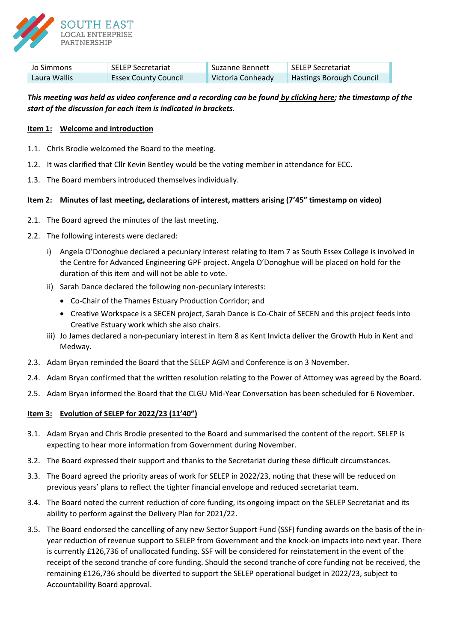

| Jo Simmons   | <b>SELEP Secretariat</b>    | Suzanne Bennett   | SELEP Secretariat               |
|--------------|-----------------------------|-------------------|---------------------------------|
| Laura Wallis | <b>Essex County Council</b> | Victoria Conheady | <b>Hastings Borough Council</b> |

# *This meeting was held as video conference and a recording can be found [by clicking here;](https://www.youtube.com/watch?v=fw8_Cn4vIRE) the timestamp of the start of the discussion for each item is indicated in brackets.*

## **Item 1: Welcome and introduction**

- 1.1. Chris Brodie welcomed the Board to the meeting.
- 1.2. It was clarified that Cllr Kevin Bentley would be the voting member in attendance for ECC.
- 1.3. The Board members introduced themselves individually.

# **Item 2: Minutes of last meeting, declarations of interest, matters arising (7'45" timestamp on video)**

- 2.1. The Board agreed the minutes of the last meeting.
- 2.2. The following interests were declared:
	- i) Angela O'Donoghue declared a pecuniary interest relating to Item 7 as South Essex College is involved in the Centre for Advanced Engineering GPF project. Angela O'Donoghue will be placed on hold for the duration of this item and will not be able to vote.
	- ii) Sarah Dance declared the following non-pecuniary interests:
		- Co-Chair of the Thames Estuary Production Corridor; and
		- Creative Workspace is a SECEN project, Sarah Dance is Co-Chair of SECEN and this project feeds into Creative Estuary work which she also chairs.
	- iii) Jo James declared a non-pecuniary interest in Item 8 as Kent Invicta deliver the Growth Hub in Kent and Medway.
- 2.3. Adam Bryan reminded the Board that the SELEP AGM and Conference is on 3 November.
- 2.4. Adam Bryan confirmed that the written resolution relating to the Power of Attorney was agreed by the Board.
- 2.5. Adam Bryan informed the Board that the CLGU Mid-Year Conversation has been scheduled for 6 November.

## **Item 3: Evolution of SELEP for 2022/23 (11'40")**

- 3.1. Adam Bryan and Chris Brodie presented to the Board and summarised the content of the report. SELEP is expecting to hear more information from Government during November.
- 3.2. The Board expressed their support and thanks to the Secretariat during these difficult circumstances.
- 3.3. The Board agreed the priority areas of work for SELEP in 2022/23, noting that these will be reduced on previous years' plans to reflect the tighter financial envelope and reduced secretariat team.
- 3.4. The Board noted the current reduction of core funding, its ongoing impact on the SELEP Secretariat and its ability to perform against the Delivery Plan for 2021/22.
- 3.5. The Board endorsed the cancelling of any new Sector Support Fund (SSF) funding awards on the basis of the inyear reduction of revenue support to SELEP from Government and the knock-on impacts into next year. There is currently £126,736 of unallocated funding. SSF will be considered for reinstatement in the event of the receipt of the second tranche of core funding. Should the second tranche of core funding not be received, the remaining £126,736 should be diverted to support the SELEP operational budget in 2022/23, subject to Accountability Board approval.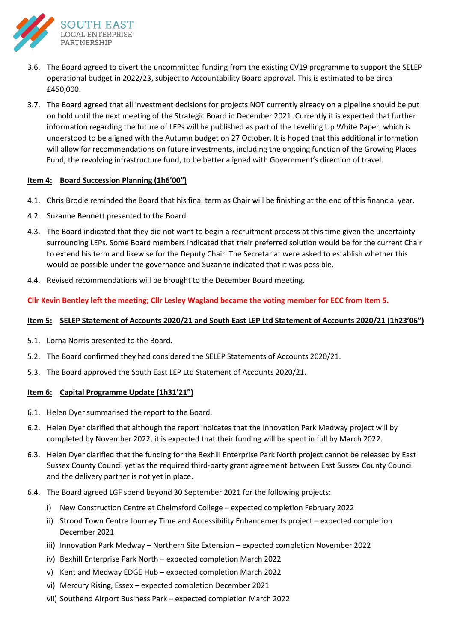

- 3.6. The Board agreed to divert the uncommitted funding from the existing CV19 programme to support the SELEP operational budget in 2022/23, subject to Accountability Board approval. This is estimated to be circa £450,000.
- 3.7. The Board agreed that all investment decisions for projects NOT currently already on a pipeline should be put on hold until the next meeting of the Strategic Board in December 2021. Currently it is expected that further information regarding the future of LEPs will be published as part of the Levelling Up White Paper, which is understood to be aligned with the Autumn budget on 27 October. It is hoped that this additional information will allow for recommendations on future investments, including the ongoing function of the Growing Places Fund, the revolving infrastructure fund, to be better aligned with Government's direction of travel.

# **Item 4: Board Succession Planning (1h6'00")**

- 4.1. Chris Brodie reminded the Board that his final term as Chair will be finishing at the end of this financial year.
- 4.2. Suzanne Bennett presented to the Board.
- 4.3. The Board indicated that they did not want to begin a recruitment process at this time given the uncertainty surrounding LEPs. Some Board members indicated that their preferred solution would be for the current Chair to extend his term and likewise for the Deputy Chair. The Secretariat were asked to establish whether this would be possible under the governance and Suzanne indicated that it was possible.
- 4.4. Revised recommendations will be brought to the December Board meeting.

**Cllr Kevin Bentley left the meeting; Cllr Lesley Wagland became the voting member for ECC from Item 5.**

#### **Item 5: SELEP Statement of Accounts 2020/21 and South East LEP Ltd Statement of Accounts 2020/21 (1h23'06")**

- 5.1. Lorna Norris presented to the Board.
- 5.2. The Board confirmed they had considered the SELEP Statements of Accounts 2020/21.
- 5.3. The Board approved the South East LEP Ltd Statement of Accounts 2020/21.

## **Item 6: Capital Programme Update (1h31'21")**

- 6.1. Helen Dyer summarised the report to the Board.
- 6.2. Helen Dyer clarified that although the report indicates that the Innovation Park Medway project will by completed by November 2022, it is expected that their funding will be spent in full by March 2022.
- 6.3. Helen Dyer clarified that the funding for the Bexhill Enterprise Park North project cannot be released by East Sussex County Council yet as the required third-party grant agreement between East Sussex County Council and the delivery partner is not yet in place.
- 6.4. The Board agreed LGF spend beyond 30 September 2021 for the following projects:
	- i) New Construction Centre at Chelmsford College expected completion February 2022
	- ii) Strood Town Centre Journey Time and Accessibility Enhancements project expected completion December 2021
	- iii) Innovation Park Medway Northern Site Extension expected completion November 2022
	- iv) Bexhill Enterprise Park North expected completion March 2022
	- v) Kent and Medway EDGE Hub expected completion March 2022
	- vi) Mercury Rising, Essex expected completion December 2021
	- vii) Southend Airport Business Park expected completion March 2022